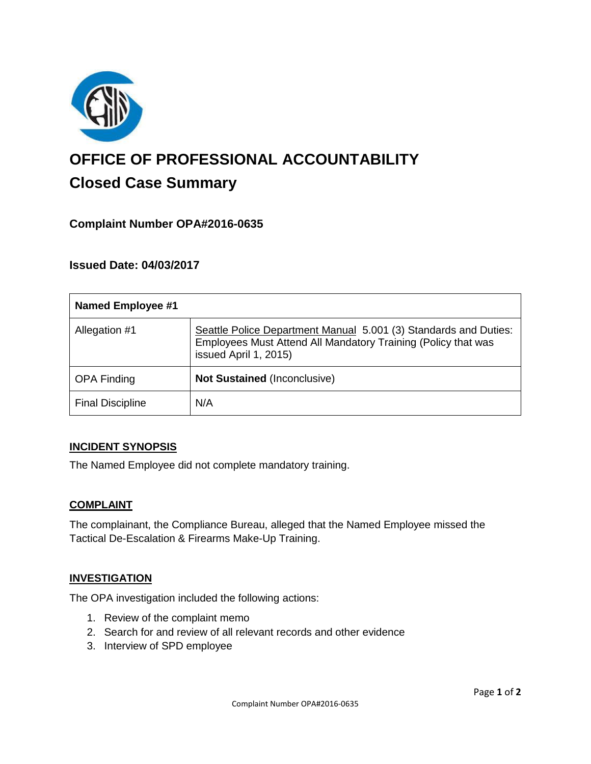

# **OFFICE OF PROFESSIONAL ACCOUNTABILITY Closed Case Summary**

# **Complaint Number OPA#2016-0635**

## **Issued Date: 04/03/2017**

| <b>Named Employee #1</b> |                                                                                                                                                            |
|--------------------------|------------------------------------------------------------------------------------------------------------------------------------------------------------|
| Allegation #1            | Seattle Police Department Manual 5.001 (3) Standards and Duties:<br>Employees Must Attend All Mandatory Training (Policy that was<br>issued April 1, 2015) |
| <b>OPA Finding</b>       | <b>Not Sustained (Inconclusive)</b>                                                                                                                        |
| <b>Final Discipline</b>  | N/A                                                                                                                                                        |

#### **INCIDENT SYNOPSIS**

The Named Employee did not complete mandatory training.

#### **COMPLAINT**

The complainant, the Compliance Bureau, alleged that the Named Employee missed the Tactical De-Escalation & Firearms Make-Up Training.

#### **INVESTIGATION**

The OPA investigation included the following actions:

- 1. Review of the complaint memo
- 2. Search for and review of all relevant records and other evidence
- 3. Interview of SPD employee